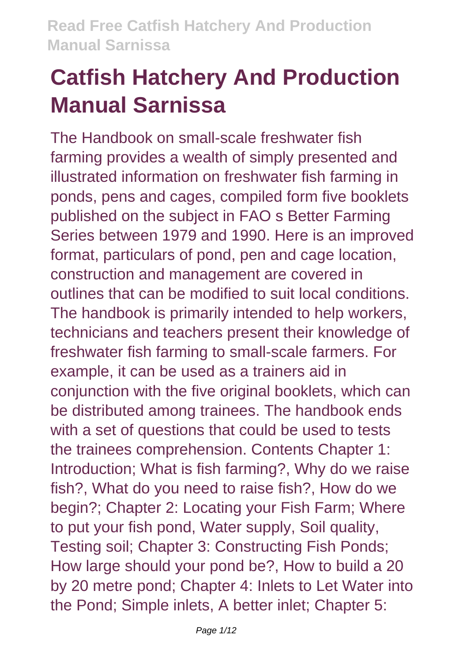The Handbook on small-scale freshwater fish farming provides a wealth of simply presented and illustrated information on freshwater fish farming in ponds, pens and cages, compiled form five booklets published on the subject in FAO s Better Farming Series between 1979 and 1990. Here is an improved format, particulars of pond, pen and cage location, construction and management are covered in outlines that can be modified to suit local conditions. The handbook is primarily intended to help workers, technicians and teachers present their knowledge of freshwater fish farming to small-scale farmers. For example, it can be used as a trainers aid in conjunction with the five original booklets, which can be distributed among trainees. The handbook ends with a set of questions that could be used to tests the trainees comprehension. Contents Chapter 1: Introduction; What is fish farming?, Why do we raise fish?, What do you need to raise fish?, How do we begin?; Chapter 2: Locating your Fish Farm; Where to put your fish pond, Water supply, Soil quality, Testing soil; Chapter 3: Constructing Fish Ponds; How large should your pond be?, How to build a 20 by 20 metre pond; Chapter 4: Inlets to Let Water into the Pond; Simple inlets, A better inlet; Chapter 5: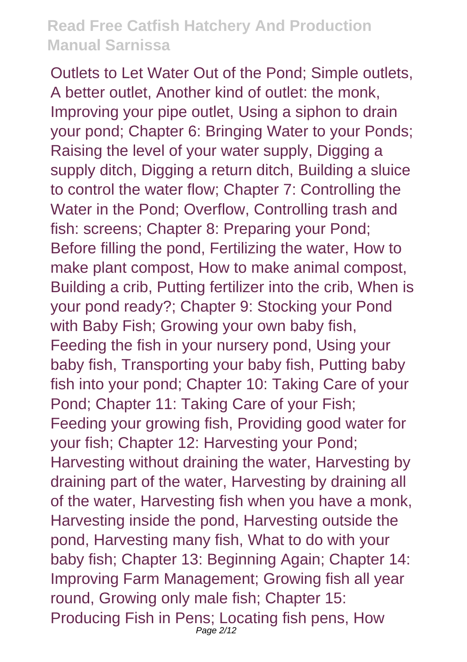Outlets to Let Water Out of the Pond; Simple outlets, A better outlet, Another kind of outlet: the monk, Improving your pipe outlet, Using a siphon to drain your pond; Chapter 6: Bringing Water to your Ponds; Raising the level of your water supply, Digging a supply ditch, Digging a return ditch, Building a sluice to control the water flow; Chapter 7: Controlling the Water in the Pond; Overflow, Controlling trash and fish: screens; Chapter 8: Preparing your Pond; Before filling the pond, Fertilizing the water, How to make plant compost, How to make animal compost, Building a crib, Putting fertilizer into the crib, When is your pond ready?; Chapter 9: Stocking your Pond with Baby Fish: Growing your own baby fish. Feeding the fish in your nursery pond, Using your baby fish, Transporting your baby fish, Putting baby fish into your pond; Chapter 10: Taking Care of your Pond; Chapter 11: Taking Care of your Fish; Feeding your growing fish, Providing good water for your fish; Chapter 12: Harvesting your Pond; Harvesting without draining the water, Harvesting by draining part of the water, Harvesting by draining all of the water, Harvesting fish when you have a monk, Harvesting inside the pond, Harvesting outside the pond, Harvesting many fish, What to do with your baby fish; Chapter 13: Beginning Again; Chapter 14: Improving Farm Management; Growing fish all year round, Growing only male fish; Chapter 15: Producing Fish in Pens; Locating fish pens, How Page  $2/12$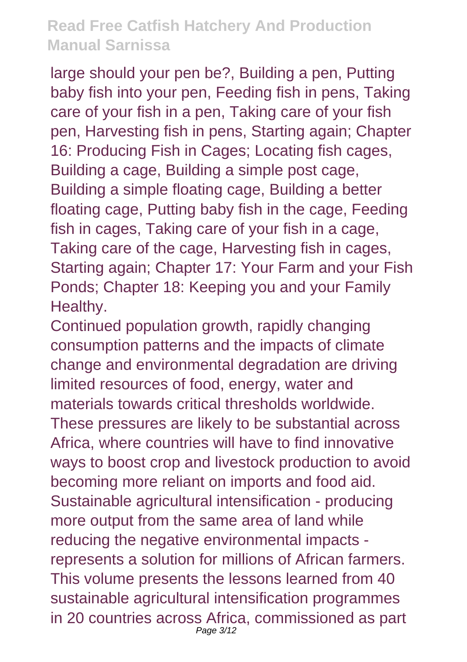large should your pen be?, Building a pen, Putting baby fish into your pen, Feeding fish in pens, Taking care of your fish in a pen, Taking care of your fish pen, Harvesting fish in pens, Starting again; Chapter 16: Producing Fish in Cages; Locating fish cages, Building a cage, Building a simple post cage, Building a simple floating cage, Building a better floating cage, Putting baby fish in the cage, Feeding fish in cages, Taking care of your fish in a cage, Taking care of the cage, Harvesting fish in cages, Starting again; Chapter 17: Your Farm and your Fish Ponds; Chapter 18: Keeping you and your Family Healthy.

Continued population growth, rapidly changing consumption patterns and the impacts of climate change and environmental degradation are driving limited resources of food, energy, water and materials towards critical thresholds worldwide. These pressures are likely to be substantial across Africa, where countries will have to find innovative ways to boost crop and livestock production to avoid becoming more reliant on imports and food aid. Sustainable agricultural intensification - producing more output from the same area of land while reducing the negative environmental impacts represents a solution for millions of African farmers. This volume presents the lessons learned from 40 sustainable agricultural intensification programmes in 20 countries across Africa, commissioned as part Page 3/12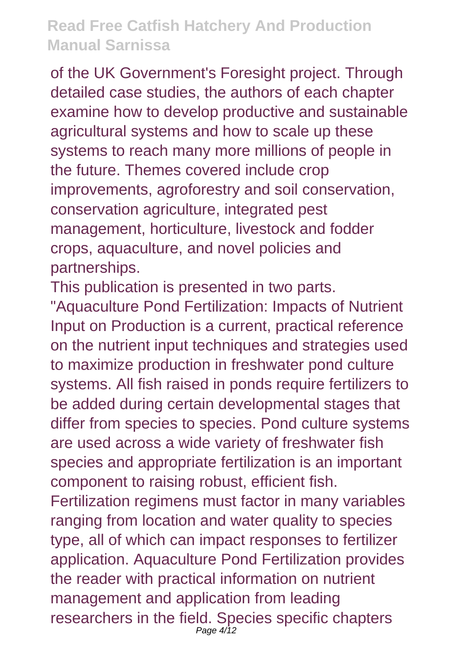of the UK Government's Foresight project. Through detailed case studies, the authors of each chapter examine how to develop productive and sustainable agricultural systems and how to scale up these systems to reach many more millions of people in the future. Themes covered include crop improvements, agroforestry and soil conservation, conservation agriculture, integrated pest management, horticulture, livestock and fodder crops, aquaculture, and novel policies and partnerships.

This publication is presented in two parts.

"Aquaculture Pond Fertilization: Impacts of Nutrient Input on Production is a current, practical reference on the nutrient input techniques and strategies used to maximize production in freshwater pond culture systems. All fish raised in ponds require fertilizers to be added during certain developmental stages that differ from species to species. Pond culture systems are used across a wide variety of freshwater fish species and appropriate fertilization is an important component to raising robust, efficient fish. Fertilization regimens must factor in many variables ranging from location and water quality to species type, all of which can impact responses to fertilizer application. Aquaculture Pond Fertilization provides

the reader with practical information on nutrient management and application from leading researchers in the field. Species specific chapters Page  $4/12$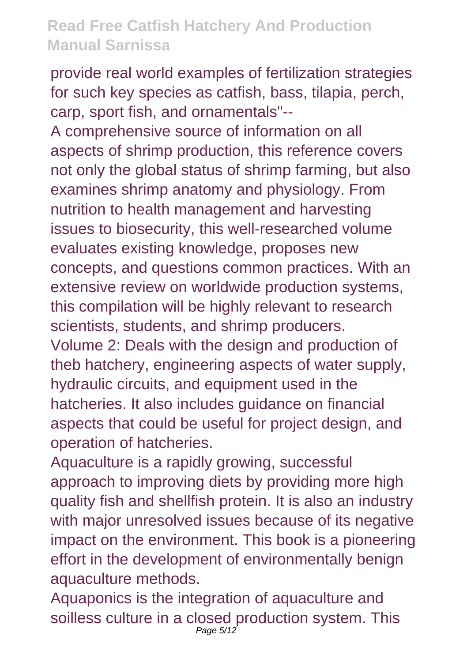provide real world examples of fertilization strategies for such key species as catfish, bass, tilapia, perch, carp, sport fish, and ornamentals"--

A comprehensive source of information on all aspects of shrimp production, this reference covers not only the global status of shrimp farming, but also examines shrimp anatomy and physiology. From nutrition to health management and harvesting issues to biosecurity, this well-researched volume evaluates existing knowledge, proposes new concepts, and questions common practices. With an extensive review on worldwide production systems, this compilation will be highly relevant to research scientists, students, and shrimp producers.

Volume 2: Deals with the design and production of theb hatchery, engineering aspects of water supply, hydraulic circuits, and equipment used in the hatcheries. It also includes guidance on financial aspects that could be useful for project design, and operation of hatcheries.

Aquaculture is a rapidly growing, successful approach to improving diets by providing more high quality fish and shellfish protein. It is also an industry with major unresolved issues because of its negative impact on the environment. This book is a pioneering effort in the development of environmentally benign aquaculture methods.

Aquaponics is the integration of aquaculture and soilless culture in a closed production system. This Page 5/12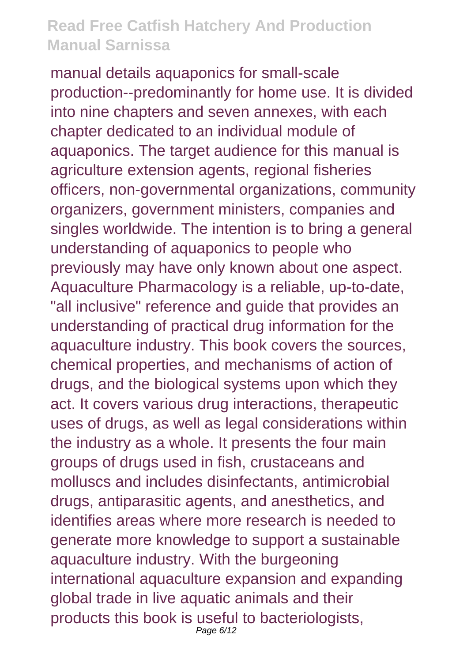manual details aquaponics for small-scale production--predominantly for home use. It is divided into nine chapters and seven annexes, with each chapter dedicated to an individual module of aquaponics. The target audience for this manual is agriculture extension agents, regional fisheries officers, non-governmental organizations, community organizers, government ministers, companies and singles worldwide. The intention is to bring a general understanding of aquaponics to people who previously may have only known about one aspect. Aquaculture Pharmacology is a reliable, up-to-date, "all inclusive" reference and guide that provides an understanding of practical drug information for the aquaculture industry. This book covers the sources, chemical properties, and mechanisms of action of drugs, and the biological systems upon which they act. It covers various drug interactions, therapeutic uses of drugs, as well as legal considerations within the industry as a whole. It presents the four main groups of drugs used in fish, crustaceans and molluscs and includes disinfectants, antimicrobial drugs, antiparasitic agents, and anesthetics, and identifies areas where more research is needed to generate more knowledge to support a sustainable aquaculture industry. With the burgeoning international aquaculture expansion and expanding global trade in live aquatic animals and their products this book is useful to bacteriologists, Page 6/12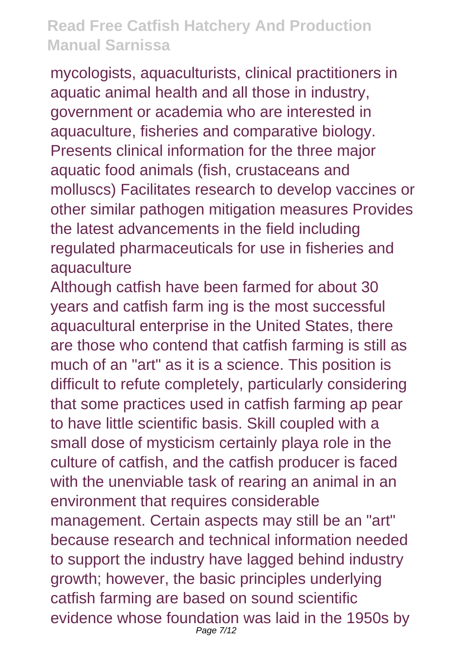mycologists, aquaculturists, clinical practitioners in aquatic animal health and all those in industry, government or academia who are interested in aquaculture, fisheries and comparative biology. Presents clinical information for the three major aquatic food animals (fish, crustaceans and molluscs) Facilitates research to develop vaccines or other similar pathogen mitigation measures Provides the latest advancements in the field including regulated pharmaceuticals for use in fisheries and aquaculture

Although catfish have been farmed for about 30 years and catfish farm ing is the most successful aquacultural enterprise in the United States, there are those who contend that catfish farming is still as much of an "art" as it is a science. This position is difficult to refute completely, particularly considering that some practices used in catfish farming ap pear to have little scientific basis. Skill coupled with a small dose of mysticism certainly playa role in the culture of catfish, and the catfish producer is faced with the unenviable task of rearing an animal in an environment that requires considerable management. Certain aspects may still be an "art" because research and technical information needed to support the industry have lagged behind industry growth; however, the basic principles underlying catfish farming are based on sound scientific evidence whose foundation was laid in the 1950s by Page 7/12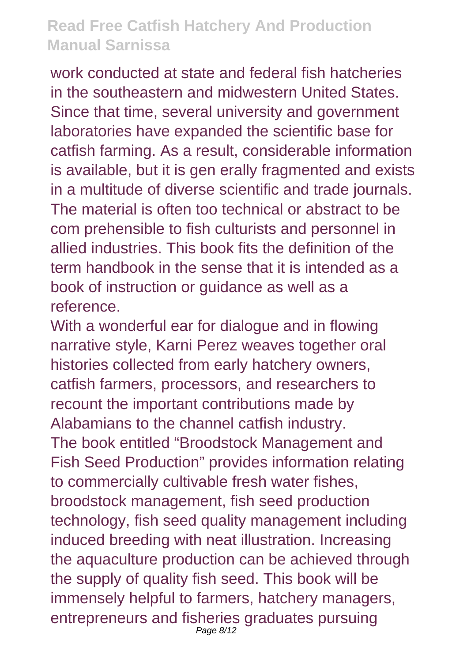work conducted at state and federal fish hatcheries in the southeastern and midwestern United States. Since that time, several university and government laboratories have expanded the scientific base for catfish farming. As a result, considerable information is available, but it is gen erally fragmented and exists in a multitude of diverse scientific and trade journals. The material is often too technical or abstract to be com prehensible to fish culturists and personnel in allied industries. This book fits the definition of the term handbook in the sense that it is intended as a book of instruction or guidance as well as a reference.

With a wonderful ear for dialogue and in flowing narrative style, Karni Perez weaves together oral histories collected from early hatchery owners, catfish farmers, processors, and researchers to recount the important contributions made by Alabamians to the channel catfish industry. The book entitled "Broodstock Management and Fish Seed Production" provides information relating to commercially cultivable fresh water fishes, broodstock management, fish seed production technology, fish seed quality management including induced breeding with neat illustration. Increasing the aquaculture production can be achieved through the supply of quality fish seed. This book will be immensely helpful to farmers, hatchery managers, entrepreneurs and fisheries graduates pursuing Page 8/12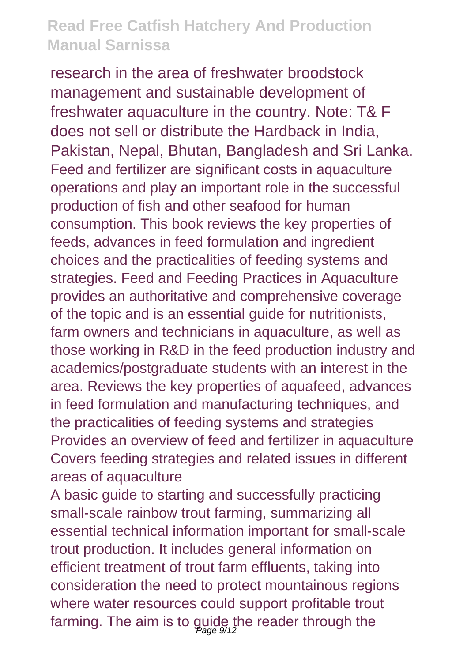research in the area of freshwater broodstock management and sustainable development of freshwater aquaculture in the country. Note: T& F does not sell or distribute the Hardback in India, Pakistan, Nepal, Bhutan, Bangladesh and Sri Lanka. Feed and fertilizer are significant costs in aquaculture operations and play an important role in the successful production of fish and other seafood for human consumption. This book reviews the key properties of feeds, advances in feed formulation and ingredient choices and the practicalities of feeding systems and strategies. Feed and Feeding Practices in Aquaculture provides an authoritative and comprehensive coverage of the topic and is an essential guide for nutritionists, farm owners and technicians in aquaculture, as well as those working in R&D in the feed production industry and academics/postgraduate students with an interest in the area. Reviews the key properties of aquafeed, advances in feed formulation and manufacturing techniques, and the practicalities of feeding systems and strategies Provides an overview of feed and fertilizer in aquaculture Covers feeding strategies and related issues in different areas of aquaculture

A basic guide to starting and successfully practicing small-scale rainbow trout farming, summarizing all essential technical information important for small-scale trout production. It includes general information on efficient treatment of trout farm effluents, taking into consideration the need to protect mountainous regions where water resources could support profitable trout farming. The aim is to guide the reader through the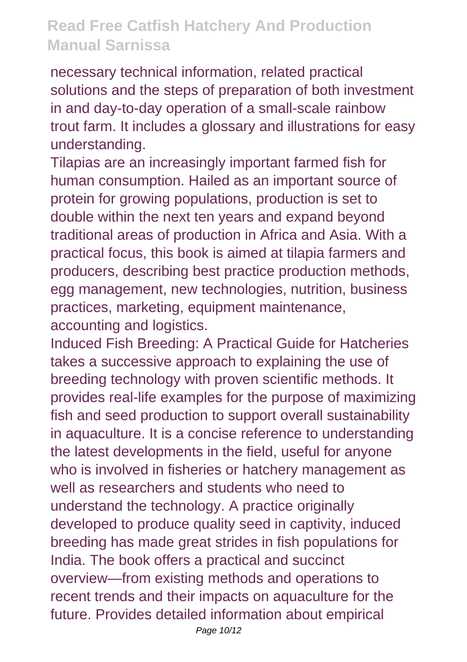necessary technical information, related practical solutions and the steps of preparation of both investment in and day-to-day operation of a small-scale rainbow trout farm. It includes a glossary and illustrations for easy understanding.

Tilapias are an increasingly important farmed fish for human consumption. Hailed as an important source of protein for growing populations, production is set to double within the next ten years and expand beyond traditional areas of production in Africa and Asia. With a practical focus, this book is aimed at tilapia farmers and producers, describing best practice production methods, egg management, new technologies, nutrition, business practices, marketing, equipment maintenance, accounting and logistics.

Induced Fish Breeding: A Practical Guide for Hatcheries takes a successive approach to explaining the use of breeding technology with proven scientific methods. It provides real-life examples for the purpose of maximizing fish and seed production to support overall sustainability in aquaculture. It is a concise reference to understanding the latest developments in the field, useful for anyone who is involved in fisheries or hatchery management as well as researchers and students who need to understand the technology. A practice originally developed to produce quality seed in captivity, induced breeding has made great strides in fish populations for India. The book offers a practical and succinct overview—from existing methods and operations to recent trends and their impacts on aquaculture for the future. Provides detailed information about empirical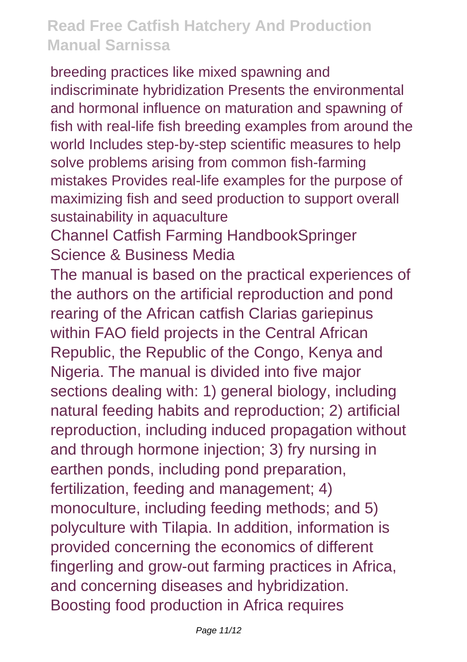breeding practices like mixed spawning and indiscriminate hybridization Presents the environmental and hormonal influence on maturation and spawning of fish with real-life fish breeding examples from around the world Includes step-by-step scientific measures to help solve problems arising from common fish-farming mistakes Provides real-life examples for the purpose of maximizing fish and seed production to support overall sustainability in aquaculture

Channel Catfish Farming HandbookSpringer Science & Business Media

The manual is based on the practical experiences of the authors on the artificial reproduction and pond rearing of the African catfish Clarias gariepinus within FAO field projects in the Central African Republic, the Republic of the Congo, Kenya and Nigeria. The manual is divided into five major sections dealing with: 1) general biology, including natural feeding habits and reproduction; 2) artificial reproduction, including induced propagation without and through hormone injection; 3) fry nursing in earthen ponds, including pond preparation, fertilization, feeding and management; 4) monoculture, including feeding methods; and 5) polyculture with Tilapia. In addition, information is provided concerning the economics of different fingerling and grow-out farming practices in Africa, and concerning diseases and hybridization. Boosting food production in Africa requires